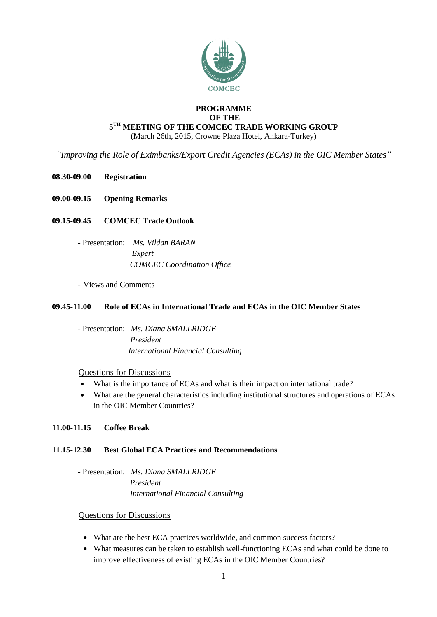

## **PROGRAMME OF THE**  $\boldsymbol{5}^{\text{TH}}$  MEETING OF THE COMCEC TRADE WORKING GROUP (March 26th, 2015, Crowne Plaza Hotel, Ankara-Turkey)

*"Improving the Role of Eximbanks/Export Credit Agencies (ECAs) in the OIC Member States"*

- **08.30-09.00 Registration**
- **09.00-09.15 Opening Remarks**

# **09.15-09.45 COMCEC Trade Outlook**

- Presentation: *Ms. Vildan BARAN Expert COMCEC Coordination Office*
- Views and Comments

## **09.45-11.00 Role of ECAs in International Trade and ECAs in the OIC Member States**

- Presentation: *Ms. Diana SMALLRIDGE President International Financial Consulting* 

## Questions for Discussions

- What is the importance of ECAs and what is their impact on international trade?
- What are the general characteristics including institutional structures and operations of ECAs in the OIC Member Countries?

## **11.00-11.15 Coffee Break**

## **11.15-12.30 Best Global ECA Practices and Recommendations**

- Presentation: *Ms. Diana SMALLRIDGE President International Financial Consulting* 

## Questions for Discussions

- What are the best ECA practices worldwide, and common success factors?
- What measures can be taken to establish well-functioning ECAs and what could be done to improve effectiveness of existing ECAs in the OIC Member Countries?